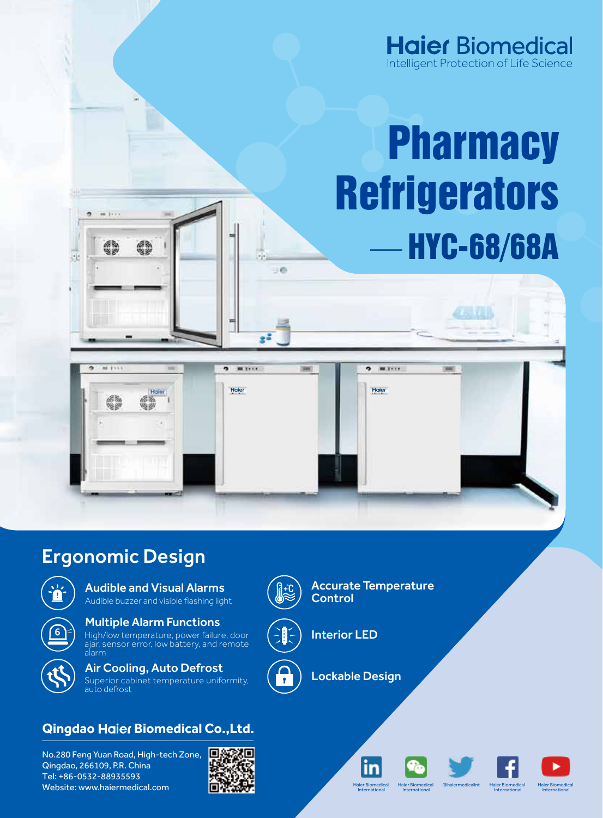

# **Pharmacy Refrigerators** — HYC-68/68A



日卷

x

# Ergonomic Design

編

ś.



 $6<sup>1</sup>$ 

Audible and Visual Alarms Audible buzzer and visible flashing light

Multiple Alarm Functions High/low temperature, power failure, door ajar, sensor error, low battery, and remote alarm

Air Cooling, Auto Defrost<br>Superior cabinet temperature uniformity, (A) Lockable Design Superior cabinet temperature uniformity, auto defrost

### **Qingdao Biomedical Co.,Ltd.**

No.280 Feng Yuan Road, High-tech Zone, Qingdao, 266109, P.R. China Tel: +86-0532-88935593 Website: www.haiermedical.com



Accurate Temperature Control

Interior LED







International



International